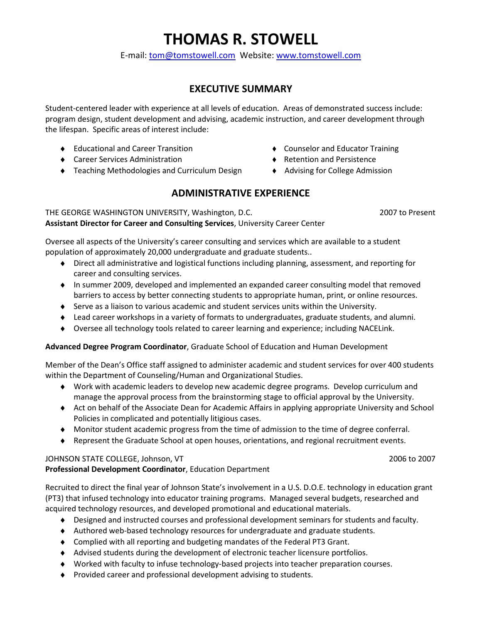# THOMAS R. STOWELL

E-mail: tom@tomstowell.com Website: www.tomstowell.com

# EXECUTIVE SUMMARY

Student-centered leader with experience at all levels of education. Areas of demonstrated success include: program design, student development and advising, academic instruction, and career development through the lifespan. Specific areas of interest include:

- ◆ Educational and Career Transition 
→ Counselor and Educator Training
- ♦ Career Services Administration Retention and Persistence
- ◆ Teaching Methodologies and Curriculum Design → Advising for College Admission

# ADMINISTRATIVE EXPERIENCE

THE GEORGE WASHINGTON UNIVERSITY, Washington, D.C. 2007 to Present Assistant Director for Career and Consulting Services, University Career Center

Oversee all aspects of the University's career consulting and services which are available to a student population of approximately 20,000 undergraduate and graduate students..

- ♦ Direct all administrative and logistical functions including planning, assessment, and reporting for career and consulting services.
- ♦ In summer 2009, developed and implemented an expanded career consulting model that removed barriers to access by better connecting students to appropriate human, print, or online resources.
- ♦ Serve as a liaison to various academic and student services units within the University.
- ♦ Lead career workshops in a variety of formats to undergraduates, graduate students, and alumni.
- ♦ Oversee all technology tools related to career learning and experience; including NACELink.

#### Advanced Degree Program Coordinator, Graduate School of Education and Human Development

Member of the Dean's Office staff assigned to administer academic and student services for over 400 students within the Department of Counseling/Human and Organizational Studies.

- ♦ Work with academic leaders to develop new academic degree programs. Develop curriculum and manage the approval process from the brainstorming stage to official approval by the University.
- ♦ Act on behalf of the Associate Dean for Academic Affairs in applying appropriate University and School Policies in complicated and potentially litigious cases.
- ♦ Monitor student academic progress from the time of admission to the time of degree conferral.
- ♦ Represent the Graduate School at open houses, orientations, and regional recruitment events.

#### JOHNSON STATE COLLEGE, Johnson, VT 2006 to 2007 Professional Development Coordinator, Education Department

Recruited to direct the final year of Johnson State's involvement in a U.S. D.O.E. technology in education grant (PT3) that infused technology into educator training programs. Managed several budgets, researched and acquired technology resources, and developed promotional and educational materials.

- ♦ Designed and instructed courses and professional development seminars for students and faculty.
- ♦ Authored web-based technology resources for undergraduate and graduate students.
- ♦ Complied with all reporting and budgeting mandates of the Federal PT3 Grant.
- ♦ Advised students during the development of electronic teacher licensure portfolios.
- ♦ Worked with faculty to infuse technology-based projects into teacher preparation courses.
- ♦ Provided career and professional development advising to students.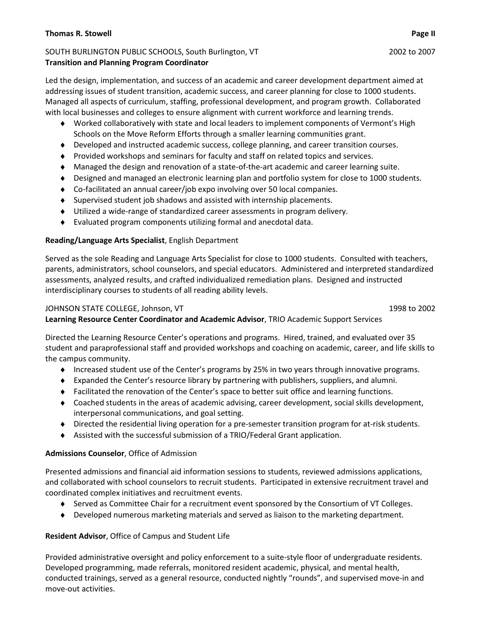#### Thomas R. Stowell Page II and the store of the store of the store of the store of the store of the store of the store of the store of the store of the store of the store of the store of the store of the store of the store

#### SOUTH BURLINGTON PUBLIC SCHOOLS, South Burlington, VT 2002 12002 to 2007 Transition and Planning Program Coordinator

Led the design, implementation, and success of an academic and career development department aimed at addressing issues of student transition, academic success, and career planning for close to 1000 students. Managed all aspects of curriculum, staffing, professional development, and program growth. Collaborated with local businesses and colleges to ensure alignment with current workforce and learning trends.

- ♦ Worked collaboratively with state and local leaders to implement components of Vermont's High Schools on the Move Reform Efforts through a smaller learning communities grant.
- ♦ Developed and instructed academic success, college planning, and career transition courses.
- ♦ Provided workshops and seminars for faculty and staff on related topics and services.
- ♦ Managed the design and renovation of a state-of-the-art academic and career learning suite.
- ♦ Designed and managed an electronic learning plan and portfolio system for close to 1000 students.
- ♦ Co-facilitated an annual career/job expo involving over 50 local companies.
- ♦ Supervised student job shadows and assisted with internship placements.
- ♦ Utilized a wide-range of standardized career assessments in program delivery.
- ♦ Evaluated program components utilizing formal and anecdotal data.

### Reading/Language Arts Specialist, English Department

Served as the sole Reading and Language Arts Specialist for close to 1000 students. Consulted with teachers, parents, administrators, school counselors, and special educators. Administered and interpreted standardized assessments, analyzed results, and crafted individualized remediation plans. Designed and instructed interdisciplinary courses to students of all reading ability levels.

### JOHNSON STATE COLLEGE, Johnson, VT 1998 to 2002

Learning Resource Center Coordinator and Academic Advisor, TRIO Academic Support Services

Directed the Learning Resource Center's operations and programs. Hired, trained, and evaluated over 35 student and paraprofessional staff and provided workshops and coaching on academic, career, and life skills to the campus community.

- ♦ Increased student use of the Center's programs by 25% in two years through innovative programs.
- ♦ Expanded the Center's resource library by partnering with publishers, suppliers, and alumni.
- ♦ Facilitated the renovation of the Center's space to better suit office and learning functions.
- ♦ Coached students in the areas of academic advising, career development, social skills development, interpersonal communications, and goal setting.
- ♦ Directed the residential living operation for a pre-semester transition program for at-risk students.
- ♦ Assisted with the successful submission of a TRIO/Federal Grant application.

### Admissions Counselor, Office of Admission

Presented admissions and financial aid information sessions to students, reviewed admissions applications, and collaborated with school counselors to recruit students. Participated in extensive recruitment travel and coordinated complex initiatives and recruitment events.

- ♦ Served as Committee Chair for a recruitment event sponsored by the Consortium of VT Colleges.
- ♦ Developed numerous marketing materials and served as liaison to the marketing department.

### Resident Advisor, Office of Campus and Student Life

Provided administrative oversight and policy enforcement to a suite-style floor of undergraduate residents. Developed programming, made referrals, monitored resident academic, physical, and mental health, conducted trainings, served as a general resource, conducted nightly "rounds", and supervised move-in and move-out activities.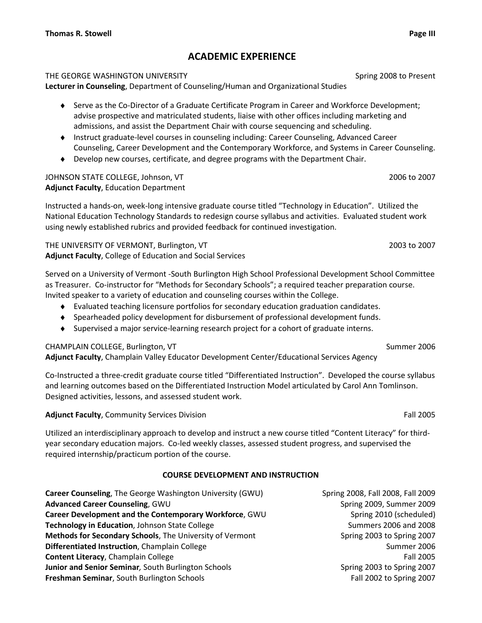# ACADEMIC EXPERIENCE

#### THE GEORGE WASHINGTON UNIVERSITY **Subset of Accord 2008** to Present

Lecturer in Counseling, Department of Counseling/Human and Organizational Studies

- ♦ Serve as the Co-Director of a Graduate Certificate Program in Career and Workforce Development; advise prospective and matriculated students, liaise with other offices including marketing and admissions, and assist the Department Chair with course sequencing and scheduling.
- ♦ Instruct graduate-level courses in counseling including: Career Counseling, Advanced Career Counseling, Career Development and the Contemporary Workforce, and Systems in Career Counseling.
- ♦ Develop new courses, certificate, and degree programs with the Department Chair.

#### JOHNSON STATE COLLEGE, Johnson, VT 2006 to 2007 Adjunct Faculty, Education Department

Instructed a hands-on, week-long intensive graduate course titled "Technology in Education". Utilized the National Education Technology Standards to redesign course syllabus and activities. Evaluated student work using newly established rubrics and provided feedback for continued investigation.

THE UNIVERSITY OF VERMONT, Burlington, VT 2003 to 2007 2003 to 2007 Adjunct Faculty, College of Education and Social Services

Served on a University of Vermont -South Burlington High School Professional Development School Committee as Treasurer. Co-instructor for "Methods for Secondary Schools"; a required teacher preparation course. Invited speaker to a variety of education and counseling courses within the College.

- ♦ Evaluated teaching licensure portfolios for secondary education graduation candidates.
- ♦ Spearheaded policy development for disbursement of professional development funds.
- ♦ Supervised a major service-learning research project for a cohort of graduate interns.

### CHAMPLAIN COLLEGE, Burlington, VT Summer 2006

Adjunct Faculty, Champlain Valley Educator Development Center/Educational Services Agency

Co-Instructed a three-credit graduate course titled "Differentiated Instruction". Developed the course syllabus and learning outcomes based on the Differentiated Instruction Model articulated by Carol Ann Tomlinson. Designed activities, lessons, and assessed student work.

### Adjunct Faculty, Community Services Division **Fall 2005 Fall 2005 Fall 2005**

Utilized an interdisciplinary approach to develop and instruct a new course titled "Content Literacy" for thirdyear secondary education majors. Co-led weekly classes, assessed student progress, and supervised the required internship/practicum portion of the course.

### COURSE DEVELOPMENT AND INSTRUCTION

Career Counseling, The George Washington University (GWU) Spring 2008, Fall 2008, Fall 2009 Advanced Career Counseling, GWU Spring 2009, Summer 2009 Career Development and the Contemporary Workforce, GWU Spring 2010 (scheduled) Technology in Education, Johnson State College Summers 2006 and 2008 Methods for Secondary Schools, The University of Vermont Spring 2003 to Spring 2007 **Differentiated Instruction**, Champlain College Summer 2006 Summer 2006 **Content Literacy**, Champlain College **Fall 2005 Fall 2005 Junior and Senior Seminar**, South Burlington Schools **Spring 2003** to Spring 2007 **Freshman Seminar**, South Burlington Schools **Fall 2002** to Spring 2007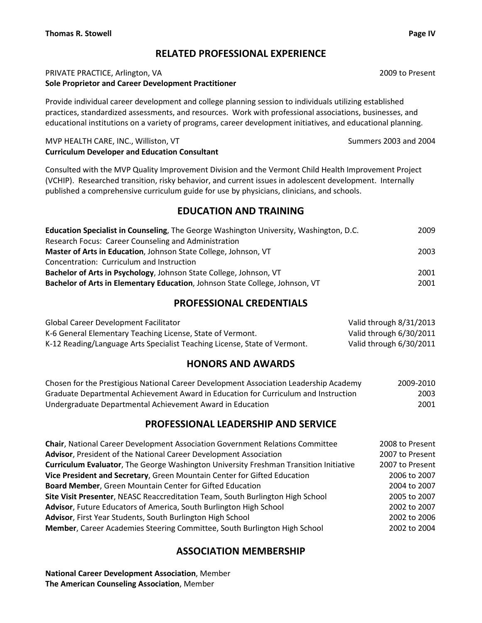# RELATED PROFESSIONAL EXPERIENCE

#### PRIVATE PRACTICE, Arlington, VA 2009 to Present Sole Proprietor and Career Development Practitioner

Provide individual career development and college planning session to individuals utilizing established practices, standardized assessments, and resources. Work with professional associations, businesses, and educational institutions on a variety of programs, career development initiatives, and educational planning.

#### MVP HEALTH CARE, INC., Williston, VT Summers 2003 and 2004 Curriculum Developer and Education Consultant

Consulted with the MVP Quality Improvement Division and the Vermont Child Health Improvement Project (VCHIP). Researched transition, risky behavior, and current issues in adolescent development. Internally published a comprehensive curriculum guide for use by physicians, clinicians, and schools.

# EDUCATION AND TRAINING

| <b>Education Specialist in Counseling, The George Washington University, Washington, D.C.</b> | 2009 |
|-----------------------------------------------------------------------------------------------|------|
| Research Focus: Career Counseling and Administration                                          |      |
| Master of Arts in Education, Johnson State College, Johnson, VT                               | 2003 |
| Concentration: Curriculum and Instruction                                                     |      |
| Bachelor of Arts in Psychology, Johnson State College, Johnson, VT                            | 2001 |
| Bachelor of Arts in Elementary Education, Johnson State College, Johnson, VT                  | 2001 |

# PROFESSIONAL CREDENTIALS

| <b>Global Career Development Facilitator</b>                              | Valid through 8/31/2013 |
|---------------------------------------------------------------------------|-------------------------|
| K-6 General Elementary Teaching License, State of Vermont.                | Valid through 6/30/2011 |
| K-12 Reading/Language Arts Specialist Teaching License, State of Vermont. | Valid through 6/30/2011 |

# HONORS AND AWARDS

| Chosen for the Prestigious National Career Development Association Leadership Academy | 2009-2010 |
|---------------------------------------------------------------------------------------|-----------|
| Graduate Departmental Achievement Award in Education for Curriculum and Instruction   | 2003      |
| Undergraduate Departmental Achievement Award in Education                             | 2001      |

# PROFESSIONAL LEADERSHIP AND SERVICE

| 2008 to Present |
|-----------------|
| 2007 to Present |
| 2007 to Present |
| 2006 to 2007    |
| 2004 to 2007    |
| 2005 to 2007    |
| 2002 to 2007    |
| 2002 to 2006    |
| 2002 to 2004    |
|                 |

# ASSOCIATION MEMBERSHIP

National Career Development Association, Member The American Counseling Association, Member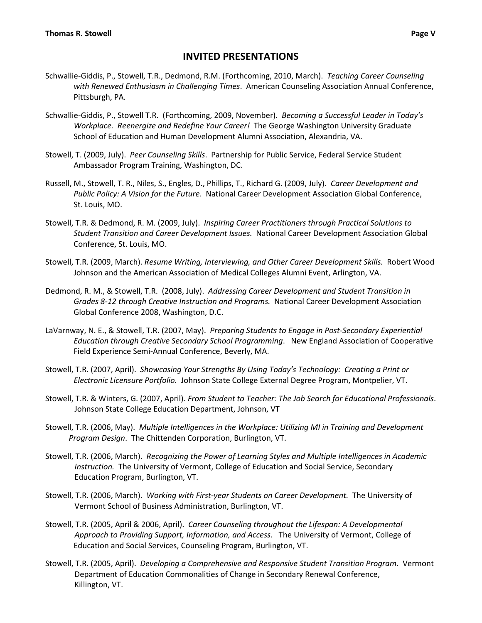# INVITED PRESENTATIONS

- Schwallie-Giddis, P., Stowell, T.R., Dedmond, R.M. (Forthcoming, 2010, March). Teaching Career Counseling with Renewed Enthusiasm in Challenging Times. American Counseling Association Annual Conference, Pittsburgh, PA.
- Schwallie-Giddis, P., Stowell T.R. (Forthcoming, 2009, November). Becoming a Successful Leader in Today's Workplace. Reenergize and Redefine Your Career! The George Washington University Graduate School of Education and Human Development Alumni Association, Alexandria, VA.
- Stowell, T. (2009, July). Peer Counseling Skills. Partnership for Public Service, Federal Service Student Ambassador Program Training, Washington, DC.
- Russell, M., Stowell, T. R., Niles, S., Engles, D., Phillips, T., Richard G. (2009, July). Career Development and Public Policy: A Vision for the Future. National Career Development Association Global Conference, St. Louis, MO.
- Stowell, T.R. & Dedmond, R. M. (2009, July). Inspiring Career Practitioners through Practical Solutions to Student Transition and Career Development Issues. National Career Development Association Global Conference, St. Louis, MO.
- Stowell, T.R. (2009, March). Resume Writing, Interviewing, and Other Career Development Skills. Robert Wood Johnson and the American Association of Medical Colleges Alumni Event, Arlington, VA.
- Dedmond, R. M., & Stowell, T.R. (2008, July). Addressing Career Development and Student Transition in Grades 8-12 through Creative Instruction and Programs. National Career Development Association Global Conference 2008, Washington, D.C.
- LaVarnway, N. E., & Stowell, T.R. (2007, May). Preparing Students to Engage in Post-Secondary Experiential Education through Creative Secondary School Programming. New England Association of Cooperative Field Experience Semi-Annual Conference, Beverly, MA.
- Stowell, T.R. (2007, April). Showcasing Your Strengths By Using Today's Technology: Creating a Print or Electronic Licensure Portfolio. Johnson State College External Degree Program, Montpelier, VT.
- Stowell, T.R. & Winters, G. (2007, April). From Student to Teacher: The Job Search for Educational Professionals. Johnson State College Education Department, Johnson, VT
- Stowell, T.R. (2006, May). Multiple Intelligences in the Workplace: Utilizing MI in Training and Development Program Design. The Chittenden Corporation, Burlington, VT.
- Stowell, T.R. (2006, March). Recognizing the Power of Learning Styles and Multiple Intelligences in Academic Instruction. The University of Vermont, College of Education and Social Service, Secondary Education Program, Burlington, VT.
- Stowell, T.R. (2006, March). Working with First-year Students on Career Development. The University of Vermont School of Business Administration, Burlington, VT.
- Stowell, T.R. (2005, April & 2006, April). Career Counseling throughout the Lifespan: A Developmental Approach to Providing Support, Information, and Access. The University of Vermont, College of Education and Social Services, Counseling Program, Burlington, VT.
- Stowell, T.R. (2005, April). Developing a Comprehensive and Responsive Student Transition Program. Vermont Department of Education Commonalities of Change in Secondary Renewal Conference, Killington, VT.